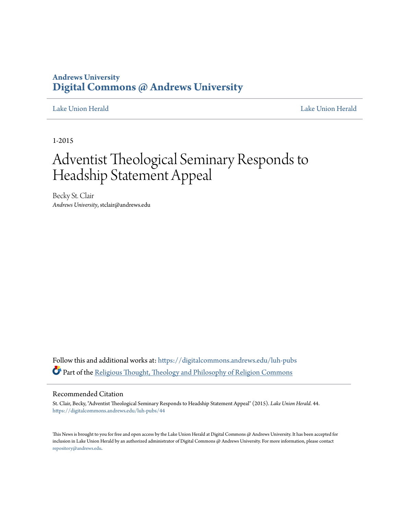### **Andrews University [Digital Commons @ Andrews University](https://digitalcommons.andrews.edu?utm_source=digitalcommons.andrews.edu%2Fluh-pubs%2F44&utm_medium=PDF&utm_campaign=PDFCoverPages)**

[Lake Union Herald](https://digitalcommons.andrews.edu/luh-pubs?utm_source=digitalcommons.andrews.edu%2Fluh-pubs%2F44&utm_medium=PDF&utm_campaign=PDFCoverPages) [Lake Union Herald](https://digitalcommons.andrews.edu/luh?utm_source=digitalcommons.andrews.edu%2Fluh-pubs%2F44&utm_medium=PDF&utm_campaign=PDFCoverPages)

1-2015

# Adventist Theological Seminary Responds to Headship Statement Appeal

Becky St. Clair *Andrews University*, stclair@andrews.edu

Follow this and additional works at: [https://digitalcommons.andrews.edu/luh-pubs](https://digitalcommons.andrews.edu/luh-pubs?utm_source=digitalcommons.andrews.edu%2Fluh-pubs%2F44&utm_medium=PDF&utm_campaign=PDFCoverPages) Part of the [Religious Thought, Theology and Philosophy of Religion Commons](http://network.bepress.com/hgg/discipline/544?utm_source=digitalcommons.andrews.edu%2Fluh-pubs%2F44&utm_medium=PDF&utm_campaign=PDFCoverPages)

#### Recommended Citation

St. Clair, Becky, "Adventist Theological Seminary Responds to Headship Statement Appeal" (2015). *Lake Union Herald*. 44. [https://digitalcommons.andrews.edu/luh-pubs/44](https://digitalcommons.andrews.edu/luh-pubs/44?utm_source=digitalcommons.andrews.edu%2Fluh-pubs%2F44&utm_medium=PDF&utm_campaign=PDFCoverPages)

This News is brought to you for free and open access by the Lake Union Herald at Digital Commons @ Andrews University. It has been accepted for inclusion in Lake Union Herald by an authorized administrator of Digital Commons @ Andrews University. For more information, please contact [repository@andrews.edu](mailto:repository@andrews.edu).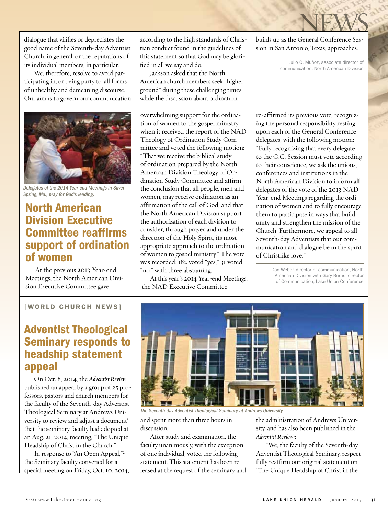dialogue that vilifies or depreciates the good name of the Seventh-day Adventist Church, in general, or the reputations of its individual members, in particular.

We, therefore, resolve to avoid participating in, or being party to, all forms of unhealthy and demeaning discourse. Our aim is to govern our communication



*Delegates of the 2014 Year-end Meetings in Silver Spring, Md., pray for God's leading.*

# North American Division Executive **Committee reaffirms** support of ordination of women

At the previous 2013 Year-end Meetings, the North American Division Executive Committee gave

according to the high standards of Christian conduct found in the guidelines of this statement so that God may be glorified in all we say and do.

Jackson asked that the North American church members seek "higher ground" during these challenging times while the discussion about ordination

overwhelming support for the ordination of women to the gospel ministry when it received the report of the NAD Theology of Ordination Study Committee and voted the following motion: "That we receive the biblical study of ordination prepared by the North American Division Theology of Ordination Study Committee and affirm the conclusion that all people, men and women, may receive ordination as an affirmation of the call of God, and that the North American Division support the authorization of each division to consider, through prayer and under the direction of the Holy Spirit, its most appropriate approach to the ordination of women to gospel ministry." The vote was recorded: 182 voted "yes," 31 voted "no," with three abstaining.

At this year's 2014 Year-end Meetings, the NAD Executive Committee

NEWS builds up as the General Conference Session in San Antonio, Texas, approaches.

> Julio C. Muñoz, associate director of communication, North American Division

re-affirmed its previous vote, recognizing the personal responsibility resting upon each of the General Conference delegates, with the following motion: "Fully recognizing that every delegate to the G.C. Session must vote according to their conscience, we ask the unions, conferences and institutions in the North American Division to inform all delegates of the vote of the 2013 NAD Year-end Meetings regarding the ordination of women and to fully encourage them to participate in ways that build unity and strengthen the mission of the Church. Furthermore, we appeal to all Seventh-day Adventists that our communication and dialogue be in the spirit of Christlike love."

> Dan Weber, director of communication, North American Division with Gary Burns, director of Communication, Lake Union Conference

#### [WORLD CHURCH NEWS]

# Adventist Theological Seminary responds to headship statement appeal

On Oct. 8, 2014, the *Adventist Review* published an appeal by a group of 25 professors, pastors and church members for the faculty of the Seventh-day Adventist Theological Seminary at Andrews University to review and adjust a document<sup>1</sup> that the seminary faculty had adopted at an Aug. 21, 2014, meeting, "The Unique Headship of Christ in the Church."

In response to "An Open Appeal,"2 the Seminary faculty convened for a special meeting on Friday, Oct. 10, 2014,



*The Seventh-day Adventist Theological Seminary at Andrews University*

and spent more than three hours in discussion.

After study and examination, the faculty unanimously, with the exception of one individual, voted the following statement. This statement has been released at the request of the seminary and the administration of Andrews University, and has also been published in the *Adventist Review*<sup>3</sup> :

"We, the faculty of the Seventh-day Adventist Theological Seminary, respectfully reaffirm our original statement on 'The Unique Headship of Christ in the